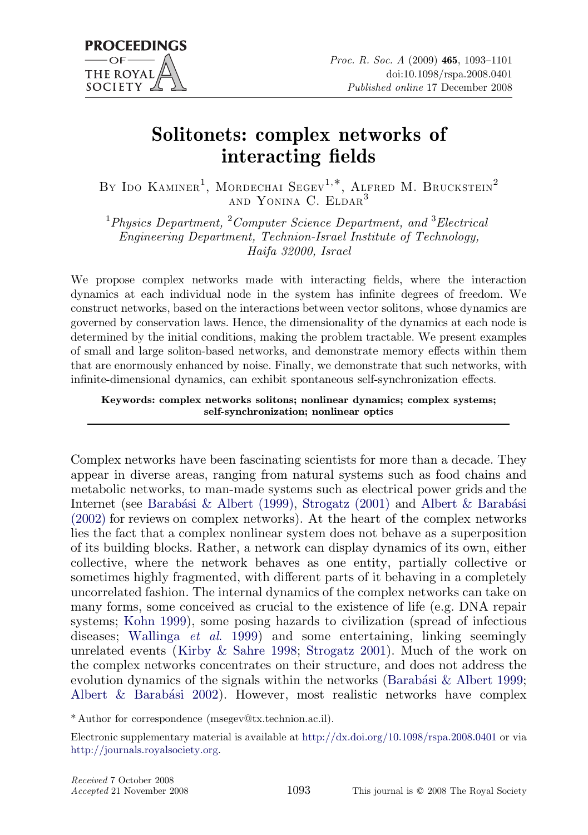## Solitonets: complex networks of interacting fields

BY IDO KAMINER<sup>1</sup>, MORDECHAI SEGEV<sup>1,\*</sup>, ALFRED M. BRUCKSTEIN<sup>2</sup> AND YONINA C. ELDAR<sup>3</sup>

<sup>1</sup>Physics Department, <sup>2</sup>Computer Science Department, and <sup>3</sup>Electrical Engineering Department, Technion-Israel Institute of Technology, Haifa 32000, Israel

We propose complex networks made with interacting fields, where the interaction dynamics at each individual node in the system has infinite degrees of freedom. We construct networks, based on the interactions between vector solitons, whose dynamics are governed by conservation laws. Hence, the dimensionality of the dynamics at each node is determined by the initial conditions, making the problem tractable. We present examples of small and large soliton-based networks, and demonstrate memory effects within them that are enormously enhanced by noise. Finally, we demonstrate that such networks, with infinite-dimensional dynamics, can exhibit spontaneous self-synchronization effects.

Keywords: complex networks solitons; nonlinear dynamics; complex systems; self-synchronization; nonlinear optics

Complex networks have been fascinating scientists for more than a decade. They appear in diverse areas, ranging from natural systems such as food chains and metabolic networks, to man-made systems such as electrical power grids and the Internet (see Barabási & Albert (1999), [Strogatz \(2001\)](#page-8-0) and Albert & Barabási [\(2002\)](#page-8-0) for reviews on complex networks). At the heart of the complex networks lies the fact that a complex nonlinear system does not behave as a superposition of its building blocks. Rather, a network can display dynamics of its own, either collective, where the network behaves as one entity, partially collective or sometimes highly fragmented, with different parts of it behaving in a completely uncorrelated fashion. The internal dynamics of the complex networks can take on many forms, some conceived as crucial to the existence of life (e.g. DNA repair systems; [Kohn 1999](#page-8-0)), some posing hazards to civilization (spread of infectious diseases; [Wallinga](#page-8-0) et al. 1999) and some entertaining, linking seemingly unrelated events ([Kirby & Sahre 1998](#page-8-0); [Strogatz 2001](#page-8-0)). Much of the work on the complex networks concentrates on their structure, and does not address the evolution dynamics of the signals within the networks (Barabási  $\&$  Albert 1999; Albert  $\&$  Barabási 2002). However, most realistic networks have complex

\* Author for correspondence (msegev@tx.technion.ac.il).

Electronic supplementary material is available at <http://dx.doi.org/10.1098/rspa.2008.0401> or via [http://journals.royalsociety.org.](http://journals.royalsociety.org)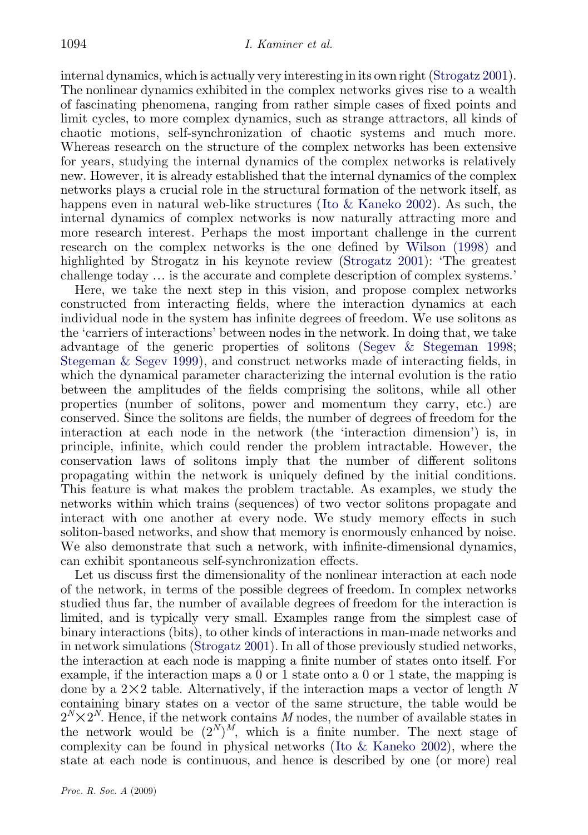internal dynamics, which is actually very interesting in its own right ([Strogatz 2001](#page-8-0)). The nonlinear dynamics exhibited in the complex networks gives rise to a wealth of fascinating phenomena, ranging from rather simple cases of fixed points and limit cycles, to more complex dynamics, such as strange attractors, all kinds of chaotic motions, self-synchronization of chaotic systems and much more. Whereas research on the structure of the complex networks has been extensive for years, studying the internal dynamics of the complex networks is relatively new. However, it is already established that the internal dynamics of the complex networks plays a crucial role in the structural formation of the network itself, as happens even in natural web-like structures ([Ito & Kaneko 2002](#page-8-0)). As such, the internal dynamics of complex networks is now naturally attracting more and more research interest. Perhaps the most important challenge in the current research on the complex networks is the one defined by [Wilson \(1998\)](#page-8-0) and highlighted by Strogatz in his keynote review [\(Strogatz 2001\)](#page-8-0): 'The greatest challenge today . is the accurate and complete description of complex systems.'

Here, we take the next step in this vision, and propose complex networks constructed from interacting fields, where the interaction dynamics at each individual node in the system has infinite degrees of freedom. We use solitons as the 'carriers of interactions' between nodes in the network. In doing that, we take advantage of the generic properties of solitons ([Segev & Stegeman 1998](#page-8-0); [Stegeman & Segev 1999\)](#page-8-0), and construct networks made of interacting fields, in which the dynamical parameter characterizing the internal evolution is the ratio between the amplitudes of the fields comprising the solitons, while all other properties (number of solitons, power and momentum they carry, etc.) are conserved. Since the solitons are fields, the number of degrees of freedom for the interaction at each node in the network (the 'interaction dimension') is, in principle, infinite, which could render the problem intractable. However, the conservation laws of solitons imply that the number of different solitons propagating within the network is uniquely defined by the initial conditions. This feature is what makes the problem tractable. As examples, we study the networks within which trains (sequences) of two vector solitons propagate and interact with one another at every node. We study memory effects in such soliton-based networks, and show that memory is enormously enhanced by noise. We also demonstrate that such a network, with infinite-dimensional dynamics, can exhibit spontaneous self-synchronization effects.

Let us discuss first the dimensionality of the nonlinear interaction at each node of the network, in terms of the possible degrees of freedom. In complex networks studied thus far, the number of available degrees of freedom for the interaction is limited, and is typically very small. Examples range from the simplest case of binary interactions (bits), to other kinds of interactions in man-made networks and in network simulations [\(Strogatz 2001](#page-8-0)). In all of those previously studied networks, the interaction at each node is mapping a finite number of states onto itself. For example, if the interaction maps a  $0$  or  $1$  state onto a  $0$  or  $1$  state, the mapping is done by a  $2 \times 2$  table. Alternatively, if the interaction maps a vector of length N containing binary states on a vector of the same structure, the table would be  $2^{N} \times 2^{N}$ . Hence, if the network contains M nodes, the number of available states in the network would be  $(2^N)^M$ , which is a finite number. The next stage of complexity can be found in physical networks (Ito  $&$  Kaneko 2002), where the state at each node is continuous, and hence is described by one (or more) real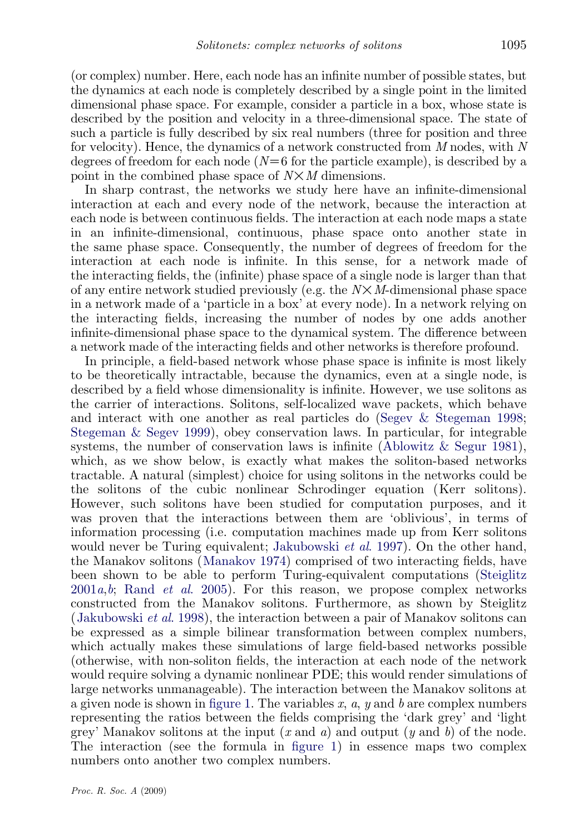(or complex) number. Here, each node has an infinite number of possible states, but the dynamics at each node is completely described by a single point in the limited dimensional phase space. For example, consider a particle in a box, whose state is described by the position and velocity in a three-dimensional space. The state of such a particle is fully described by six real numbers (three for position and three for velocity). Hence, the dynamics of a network constructed from  $M$  nodes, with  $N$ degrees of freedom for each node ( $N=6$  for the particle example), is described by a point in the combined phase space of  $N \times M$  dimensions.

In sharp contrast, the networks we study here have an infinite-dimensional interaction at each and every node of the network, because the interaction at each node is between continuous fields. The interaction at each node maps a state in an infinite-dimensional, continuous, phase space onto another state in the same phase space. Consequently, the number of degrees of freedom for the interaction at each node is infinite. In this sense, for a network made of the interacting fields, the (infinite) phase space of a single node is larger than that of any entire network studied previously (e.g. the  $N \times M$ -dimensional phase space in a network made of a 'particle in a box' at every node). In a network relying on the interacting fields, increasing the number of nodes by one adds another infinite-dimensional phase space to the dynamical system. The difference between a network made of the interacting fields and other networks is therefore profound.

In principle, a field-based network whose phase space is infinite is most likely to be theoretically intractable, because the dynamics, even at a single node, is described by a field whose dimensionality is infinite. However, we use solitons as the carrier of interactions. Solitons, self-localized wave packets, which behave and interact with one another as real particles do [\(Segev & Stegeman 1998;](#page-8-0) [Stegeman & Segev 1999](#page-8-0)), obey conservation laws. In particular, for integrable systems, the number of conservation laws is infinite (Ablowitz  $\&$  Segur 1981), which, as we show below, is exactly what makes the soliton-based networks tractable. A natural (simplest) choice for using solitons in the networks could be the solitons of the cubic nonlinear Schrodinger equation (Kerr solitons). However, such solitons have been studied for computation purposes, and it was proven that the interactions between them are 'oblivious', in terms of information processing (i.e. computation machines made up from Kerr solitons would never be Turing equivalent; [Jakubowski](#page-8-0) *et al.* 1997). On the other hand, the Manakov solitons ([Manakov 1974\)](#page-8-0) comprised of two interacting fields, have been shown to be able to perform Turing-equivalent computations ([Steiglitz](#page-8-0)  $2001a,b$  $2001a,b$  $2001a,b$ ; Rand *et al.* 2005). For this reason, we propose complex networks constructed from the Manakov solitons. Furthermore, as shown by Steiglitz ([Jakubowski](#page-8-0) et al. 1998), the interaction between a pair of Manakov solitons can be expressed as a simple bilinear transformation between complex numbers, which actually makes these simulations of large field-based networks possible (otherwise, with non-soliton fields, the interaction at each node of the network would require solving a dynamic nonlinear PDE; this would render simulations of large networks unmanageable). The interaction between the Manakov solitons at a given node is shown in [figure 1](#page-3-0). The variables x,  $a, y$  and b are complex numbers representing the ratios between the fields comprising the 'dark grey' and 'light grey' Manakov solitons at the input  $(x \text{ and } a)$  and output  $(y \text{ and } b)$  of the node. The interaction (see the formula in [figure 1\)](#page-3-0) in essence maps two complex numbers onto another two complex numbers.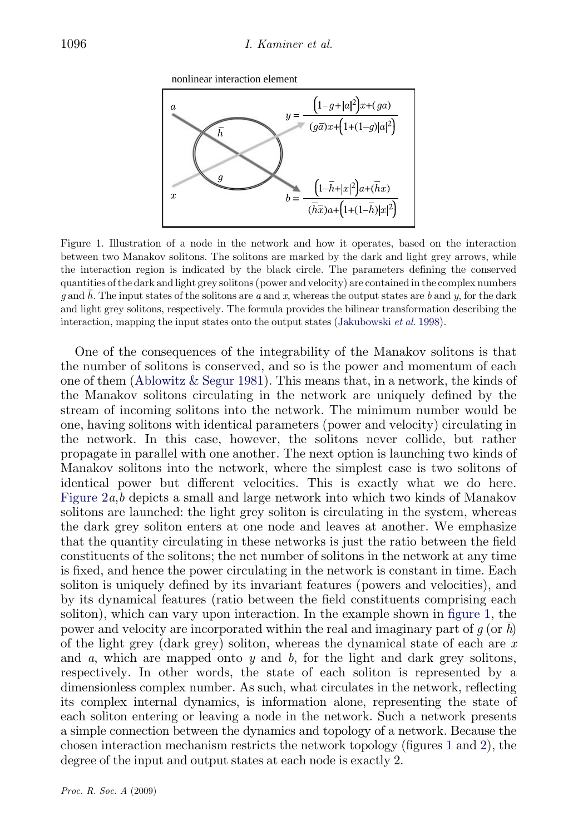nonlinear interaction element

<span id="page-3-0"></span>

Figure 1. Illustration of a node in the network and how it operates, based on the interaction between two Manakov solitons. The solitons are marked by the dark and light grey arrows, while the interaction region is indicated by the black circle. The parameters defining the conserved quantities of the dark and light grey solitons (power and velocity) are contained in the complex numbers g and  $\bar{h}$ . The input states of the solitons are a and x, whereas the output states are b and y, for the dark and light grey solitons, respectively. The formula provides the bilinear transformation describing the interaction, mapping the input states onto the output states ([Jakubowski](#page-8-0) et al. 1998).

One of the consequences of the integrability of the Manakov solitons is that the number of solitons is conserved, and so is the power and momentum of each one of them ([Ablowitz & Segur 1981](#page-8-0)). This means that, in a network, the kinds of the Manakov solitons circulating in the network are uniquely defined by the stream of incoming solitons into the network. The minimum number would be one, having solitons with identical parameters (power and velocity) circulating in the network. In this case, however, the solitons never collide, but rather propagate in parallel with one another. The next option is launching two kinds of Manakov solitons into the network, where the simplest case is two solitons of identical power but different velocities. This is exactly what we do here. Figure  $2a, b$  depicts a small and large network into which two kinds of Manakov solitons are launched: the light grey soliton is circulating in the system, whereas the dark grey soliton enters at one node and leaves at another. We emphasize that the quantity circulating in these networks is just the ratio between the field constituents of the solitons; the net number of solitons in the network at any time is fixed, and hence the power circulating in the network is constant in time. Each soliton is uniquely defined by its invariant features (powers and velocities), and by its dynamical features (ratio between the field constituents comprising each soliton), which can vary upon interaction. In the example shown in figure 1, the power and velocity are incorporated within the real and imaginary part of  $q$  (or h) of the light grey (dark grey) soliton, whereas the dynamical state of each are  $x$ and  $a$ , which are mapped onto  $y$  and  $b$ , for the light and dark grey solitons, respectively. In other words, the state of each soliton is represented by a dimensionless complex number. As such, what circulates in the network, reflecting its complex internal dynamics, is information alone, representing the state of each soliton entering or leaving a node in the network. Such a network presents a simple connection between the dynamics and topology of a network. Because the chosen interaction mechanism restricts the network topology (figures 1 and [2](#page-4-0)), the degree of the input and output states at each node is exactly 2.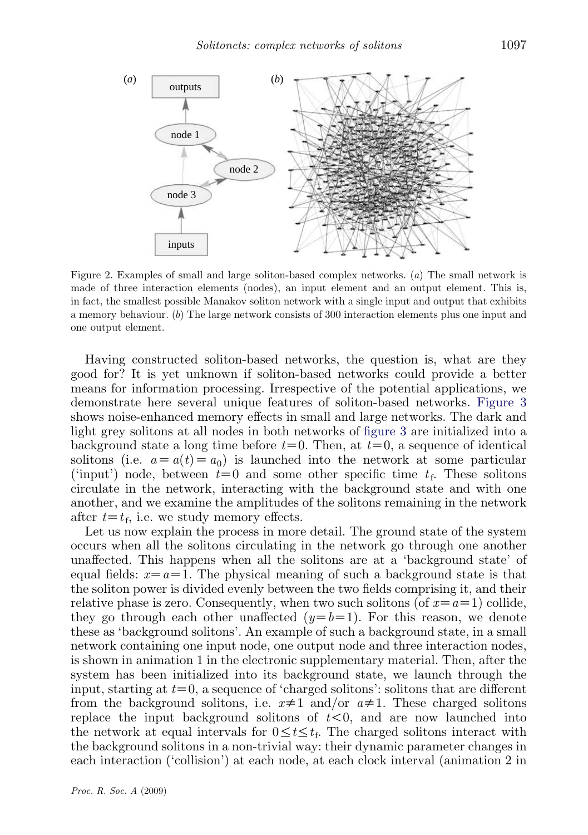<span id="page-4-0"></span>

Figure 2. Examples of small and large soliton-based complex networks. (a) The small network is made of three interaction elements (nodes), an input element and an output element. This is, in fact, the smallest possible Manakov soliton network with a single input and output that exhibits a memory behaviour. (b) The large network consists of 300 interaction elements plus one input and one output element.

Having constructed soliton-based networks, the question is, what are they good for? It is yet unknown if soliton-based networks could provide a better means for information processing. Irrespective of the potential applications, we demonstrate here several unique features of soliton-based networks. [Figure 3](#page-5-0) shows noise-enhanced memory effects in small and large networks. The dark and light grey solitons at all nodes in both networks of [figure 3](#page-5-0) are initialized into a background state a long time before  $t=0$ . Then, at  $t=0$ , a sequence of identical solitons (i.e.  $a=a(t)=a_0$ ) is launched into the network at some particular ('input') node, between  $t=0$  and some other specific time  $t_f$ . These solitons circulate in the network, interacting with the background state and with one another, and we examine the amplitudes of the solitons remaining in the network after  $t=t_f$ , i.e. we study memory effects.

Let us now explain the process in more detail. The ground state of the system occurs when all the solitons circulating in the network go through one another unaffected. This happens when all the solitons are at a 'background state' of equal fields:  $x=a=1$ . The physical meaning of such a background state is that the soliton power is divided evenly between the two fields comprising it, and their relative phase is zero. Consequently, when two such solitons (of  $x=a=1$ ) collide, they go through each other unaffected  $(y=b=1)$ . For this reason, we denote these as 'background solitons'. An example of such a background state, in a small network containing one input node, one output node and three interaction nodes, is shown in animation 1 in the electronic supplementary material. Then, after the system has been initialized into its background state, we launch through the input, starting at  $t=0$ , a sequence of 'charged solitons': solitons that are different from the background solitons, i.e.  $x\neq1$  and/or  $a\neq1$ . These charged solitons replace the input background solitons of  $t < 0$ , and are now launched into the network at equal intervals for  $0 \le t \le t_f$ . The charged solitons interact with the background solitons in a non-trivial way: their dynamic parameter changes in each interaction ('collision') at each node, at each clock interval (animation 2 in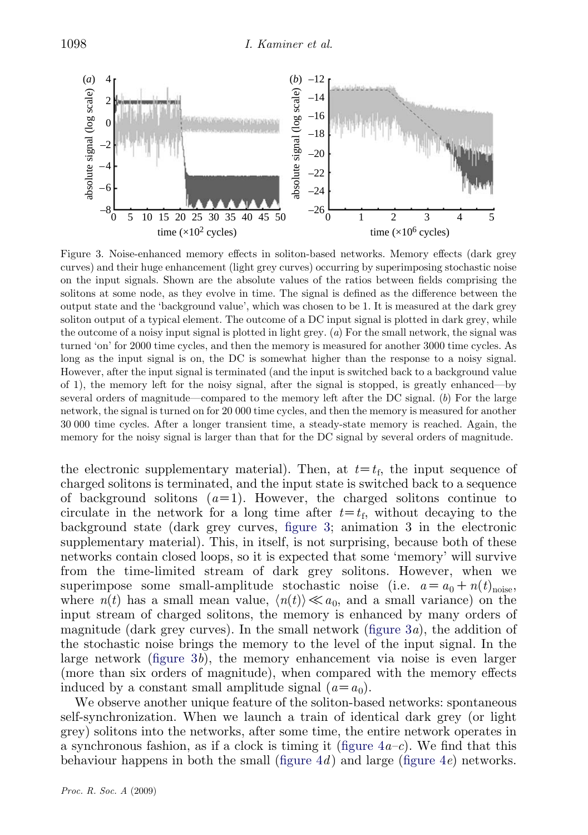<span id="page-5-0"></span>

Figure 3. Noise-enhanced memory effects in soliton-based networks. Memory effects (dark grey curves) and their huge enhancement (light grey curves) occurring by superimposing stochastic noise on the input signals. Shown are the absolute values of the ratios between fields comprising the solitons at some node, as they evolve in time. The signal is defined as the difference between the output state and the 'background value', which was chosen to be 1. It is measured at the dark grey soliton output of a typical element. The outcome of a DC input signal is plotted in dark grey, while the outcome of a noisy input signal is plotted in light grey. (a) For the small network, the signal was turned 'on' for 2000 time cycles, and then the memory is measured for another 3000 time cycles. As long as the input signal is on, the DC is somewhat higher than the response to a noisy signal. However, after the input signal is terminated (and the input is switched back to a background value of 1), the memory left for the noisy signal, after the signal is stopped, is greatly enhanced—by several orders of magnitude—compared to the memory left after the DC signal.  $(b)$  For the large network, the signal is turned on for 20 000 time cycles, and then the memory is measured for another 30 000 time cycles. After a longer transient time, a steady-state memory is reached. Again, the memory for the noisy signal is larger than that for the DC signal by several orders of magnitude.

the electronic supplementary material). Then, at  $t=t_f$ , the input sequence of charged solitons is terminated, and the input state is switched back to a sequence of background solitons  $(a=1)$ . However, the charged solitons continue to circulate in the network for a long time after  $t=t_f$ , without decaying to the background state (dark grey curves, figure 3; animation 3 in the electronic supplementary material). This, in itself, is not surprising, because both of these networks contain closed loops, so it is expected that some 'memory' will survive from the time-limited stream of dark grey solitons. However, when we superimpose some small-amplitude stochastic noise (i.e.  $a=a_0+n(t)_{\text{noise}}$ , where  $n(t)$  has a small mean value,  $\langle n(t) \rangle \ll a_0$ , and a small variance) on the input stream of charged solitons, the memory is enhanced by many orders of magnitude (dark grey curves). In the small network (figure  $3a$ ), the addition of the stochastic noise brings the memory to the level of the input signal. In the large network (figure 3b), the memory enhancement via noise is even larger (more than six orders of magnitude), when compared with the memory effects induced by a constant small amplitude signal  $(a=a_0)$ .

We observe another unique feature of the soliton-based networks: spontaneous self-synchronization. When we launch a train of identical dark grey (or light grey) solitons into the networks, after some time, the entire network operates in a synchronous fashion, as if a clock is timing it (figure  $4a-c$ ). We find that this behaviour happens in both the small (figure  $4d$ ) and large (figure  $4e$ ) networks.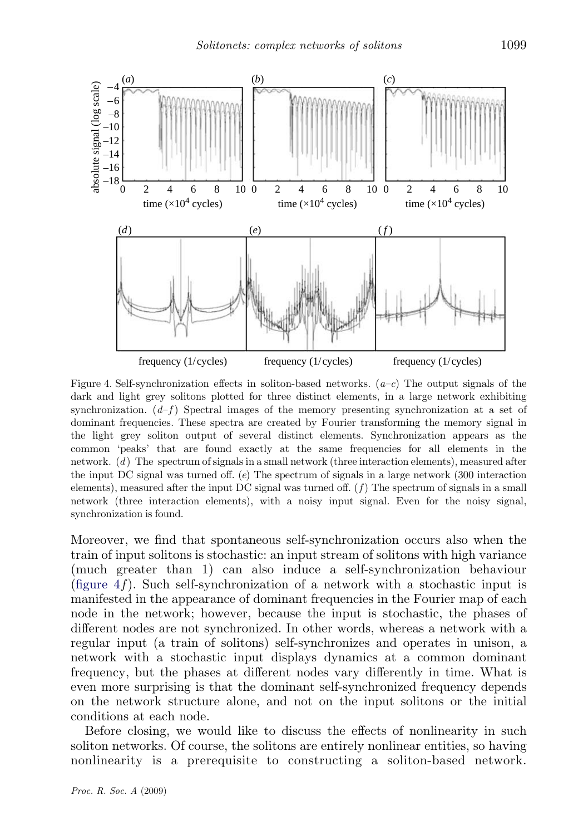<span id="page-6-0"></span>

Figure 4. Self-synchronization effects in soliton-based networks.  $(a-c)$  The output signals of the dark and light grey solitons plotted for three distinct elements, in a large network exhibiting synchronization.  $(d-f)$  Spectral images of the memory presenting synchronization at a set of dominant frequencies. These spectra are created by Fourier transforming the memory signal in the light grey soliton output of several distinct elements. Synchronization appears as the common 'peaks' that are found exactly at the same frequencies for all elements in the network.  $(d)$  The spectrum of signals in a small network (three interaction elements), measured after the input DC signal was turned off. (e) The spectrum of signals in a large network (300 interaction elements), measured after the input DC signal was turned off.  $(f)$  The spectrum of signals in a small network (three interaction elements), with a noisy input signal. Even for the noisy signal, synchronization is found.

Moreover, we find that spontaneous self-synchronization occurs also when the train of input solitons is stochastic: an input stream of solitons with high variance (much greater than 1) can also induce a self-synchronization behaviour (figure  $4f$ ). Such self-synchronization of a network with a stochastic input is manifested in the appearance of dominant frequencies in the Fourier map of each node in the network; however, because the input is stochastic, the phases of different nodes are not synchronized. In other words, whereas a network with a regular input (a train of solitons) self-synchronizes and operates in unison, a network with a stochastic input displays dynamics at a common dominant frequency, but the phases at different nodes vary differently in time. What is even more surprising is that the dominant self-synchronized frequency depends on the network structure alone, and not on the input solitons or the initial conditions at each node.

Before closing, we would like to discuss the effects of nonlinearity in such soliton networks. Of course, the solitons are entirely nonlinear entities, so having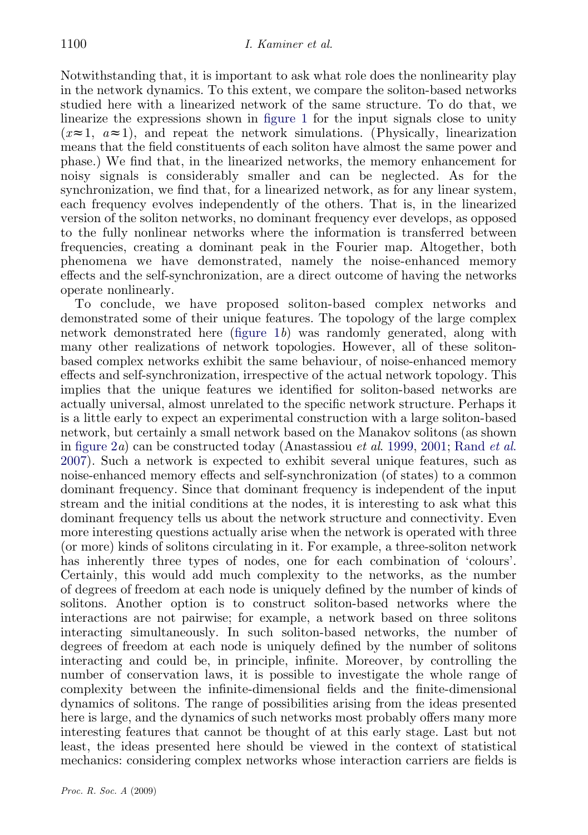Notwithstanding that, it is important to ask what role does the nonlinearity play in the network dynamics. To this extent, we compare the soliton-based networks studied here with a linearized network of the same structure. To do that, we linearize the expressions shown in [figure 1](#page-3-0) for the input signals close to unity  $(x\approx 1, a\approx 1)$ , and repeat the network simulations. (Physically, linearization means that the field constituents of each soliton have almost the same power and phase.) We find that, in the linearized networks, the memory enhancement for noisy signals is considerably smaller and can be neglected. As for the synchronization, we find that, for a linearized network, as for any linear system, each frequency evolves independently of the others. That is, in the linearized version of the soliton networks, no dominant frequency ever develops, as opposed to the fully nonlinear networks where the information is transferred between frequencies, creating a dominant peak in the Fourier map. Altogether, both phenomena we have demonstrated, namely the noise-enhanced memory effects and the self-synchronization, are a direct outcome of having the networks operate nonlinearly.

To conclude, we have proposed soliton-based complex networks and demonstrated some of their unique features. The topology of the large complex network demonstrated here ([figure 1](#page-3-0)b) was randomly generated, along with many other realizations of network topologies. However, all of these solitonbased complex networks exhibit the same behaviour, of noise-enhanced memory effects and self-synchronization, irrespective of the actual network topology. This implies that the unique features we identified for soliton-based networks are actually universal, almost unrelated to the specific network structure. Perhaps it is a little early to expect an experimental construction with a large soliton-based network, but certainly a small network based on the Manakov solitons (as shown in [figure 2](#page-4-0)a) can be constructed today (Anastassiou *et al.* [1999,](#page-8-0) [2001](#page-8-0); [Rand](#page-8-0) *et al.* [2007\)](#page-8-0). Such a network is expected to exhibit several unique features, such as noise-enhanced memory effects and self-synchronization (of states) to a common dominant frequency. Since that dominant frequency is independent of the input stream and the initial conditions at the nodes, it is interesting to ask what this dominant frequency tells us about the network structure and connectivity. Even more interesting questions actually arise when the network is operated with three (or more) kinds of solitons circulating in it. For example, a three-soliton network has inherently three types of nodes, one for each combination of 'colours'. Certainly, this would add much complexity to the networks, as the number of degrees of freedom at each node is uniquely defined by the number of kinds of solitons. Another option is to construct soliton-based networks where the interactions are not pairwise; for example, a network based on three solitons interacting simultaneously. In such soliton-based networks, the number of degrees of freedom at each node is uniquely defined by the number of solitons interacting and could be, in principle, infinite. Moreover, by controlling the number of conservation laws, it is possible to investigate the whole range of complexity between the infinite-dimensional fields and the finite-dimensional dynamics of solitons. The range of possibilities arising from the ideas presented here is large, and the dynamics of such networks most probably offers many more interesting features that cannot be thought of at this early stage. Last but not least, the ideas presented here should be viewed in the context of statistical mechanics: considering complex networks whose interaction carriers are fields is